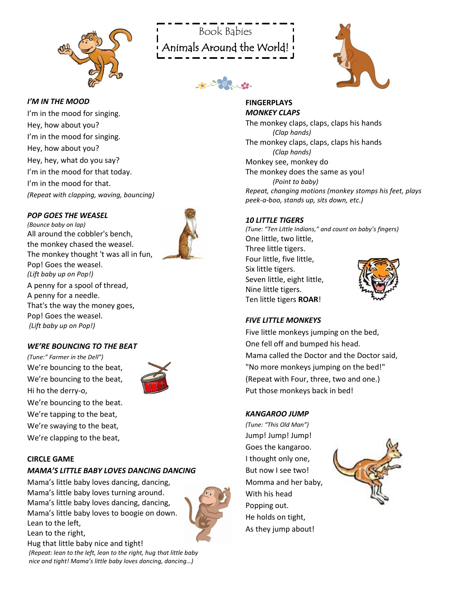



de 202 de



# *I'M IN THE MOOD*

I'm in the mood for singing. Hey, how about you? I'm in the mood for singing. Hey, how about you? Hey, hey, what do you say? I'm in the mood for that today. I'm in the mood for that. *(Repeat with clapping, waving, bouncing)*

#### *POP GOES THE WEASEL*

*(Bounce baby on lap)* All around the cobbler's bench, the monkey chased the weasel. The monkey thought 't was all in fun, Pop! Goes the weasel. *(Lift baby up on Pop!)* A penny for a spool of thread, A penny for a needle. That's the way the money goes, Pop! Goes the weasel. *(Lift baby up on Pop!)*



#### *WE'RE BOUNCING TO THE BEAT*

*(Tune:" Farmer in the Dell")*  We're bouncing to the beat, We're bouncing to the beat, Hi ho the derry-o, We're bouncing to the beat. We're tapping to the beat, We're swaying to the beat, We're clapping to the beat,



#### **CIRCLE GAME**

#### *MAMA'S LITTLE BABY LOVES DANCING DANCING*

Mama's little baby loves dancing, dancing, Mama's little baby loves turning around. Mama's little baby loves dancing, dancing, Mama's little baby loves to boogie on down. Lean to the left, Lean to the right,



Hug that little baby nice and tight! *(Repeat: lean to the left, lean to the right, hug that little baby nice and tight! Mama's little baby loves dancing, dancing…)*

#### **FINGERPLAYS** *MONKEY CLAPS*

The monkey claps, claps, claps his hands *(Clap hands)*  The monkey claps, claps, claps his hands *(Clap hands)*  Monkey see, monkey do The monkey does the same as you! *(Point to baby) Repeat, changing motions (monkey stomps his feet, plays peek-a-boo, stands up, sits down, etc.)*

#### *10 LITTLE TIGERS*

*(Tune: "Ten Little Indians," and count on baby's fingers)* One little, two little, Three little tigers. Four little, five little, Six little tigers. Seven little, eight little, Nine little tigers. Ten little tigers **ROAR**!

# *FIVE LITTLE MONKEYS*

Five little monkeys jumping on the bed, One fell off and bumped his head. Mama called the Doctor and the Doctor said, "No more monkeys jumping on the bed!" (Repeat with Four, three, two and one.) Put those monkeys back in bed!

#### *KANGAROO JUMP*

*(Tune: "This Old Man")* Jump! Jump! Jump! Goes the kangaroo. I thought only one, But now I see two! Momma and her baby, With his head Popping out. He holds on tight, As they jump about!